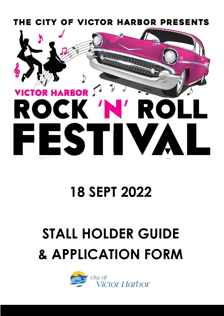

# **18 SEPT 2022**

# **STALL HOLDER GUIDE & APPLICATION FORM**

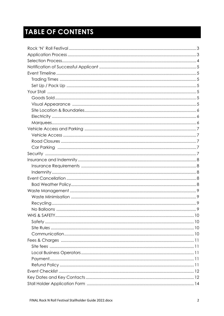# **TABLE OF CONTENTS**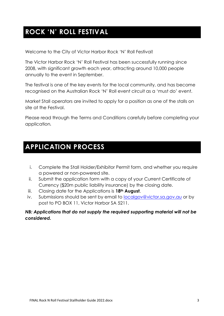### **ROCK 'N' ROLL FESTIVAL**

Welcome to the City of Victor Harbor Rock 'N' Roll Festival!

The Victor Harbor Rock 'N' Roll Festival has been successfully running since 2008, with significant growth each year, attracting around 10,000 people annually to the event in September.

The festival is one of the key events for the local community, and has become recognised on the Australian Rock 'N' Roll event circuit as a 'must do' event.

Market Stall operators are invited to apply for a position as one of the stalls on site at the Festival.

Please read through the Terms and Conditions carefully before completing your application.

### **APPLICATION PROCESS**

- i. Complete the Stall Holder/Exhibitor Permit form, and whether you require a powered or non-powered site.
- ii. Submit the application form with a copy of your Current Certificate of Currency (\$20m public liability insurance) by the closing date.
- iii. Closing date for the Applications is **18th August**.
- iv. Submissions should be sent by email to [localgov@victor.sa.gov.au](mailto:localgov@victor.sa.gov.au) or by post to PO BOX 11, Victor Harbor SA 5211.

#### *NB: Applications that do not supply the required supporting material will not be considered.*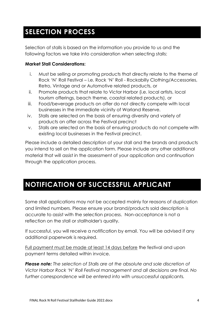# **SELECTION PROCESS**

Selection of stalls is based on the information you provide to us and the following factors we take into consideration when selecting stalls:

#### **Market Stall Considerations:**

- i. Must be selling or promoting products that directly relate to the theme of Rock 'N' Roll Festival – i.e. Rock 'N' Roll - Rockabilly Clothing/Accessories, Retro, Vintage and or Automotive related products, or
- ii. Promote products that relate to Victor Harbor (i.e. local artists, local tourism offerings, beach theme, coastal related products), or
- iii. Food/beverage products on offer do not directly compete with local businesses in the immediate vicinity of Warland Reserve.
- iv. Stalls are selected on the basis of ensuring diversity and variety of products on offer across the Festival precinct
- v. Stalls are selected on the basis of ensuring products do not compete with existing local businesses in the Festival precinct.

Please include a detailed description of your stall and the brands and products you intend to sell on the application form. Please include any other additional material that will assist in the assessment of your application and continuation through the application process.

### **NOTIFICATION OF SUCCESSFUL APPLICANT**

Some stall applications may not be accepted mainly for reasons of duplication and limited numbers. Please ensure your brand/products sold description is accurate to assist with the selection process. Non-acceptance is not a reflection on the stall or stallholder's quality.

If successful, you will receive a notification by email. You will be advised if any additional paperwork is required.

Full payment must be made at least 14 days before the festival and upon payment terms detailed within invoice.

*Please note: The selection of Stalls are at the absolute and sole discretion of Victor Harbor Rock 'N' Roll Festival management and all decisions are final. No further correspondence will be entered into with unsuccessful applicants.*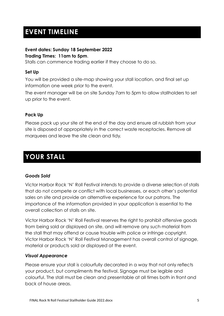# **EVENT TIMELINE**

#### **Event dates: Sunday 18 September 2022**

#### **Trading Times: 11am to 5pm**.

Stalls can commence trading earlier if they choose to do so.

#### **Set Up**

You will be provided a site-map showing your stall location, and final set up information one week prior to the event.

The event manager will be on site Sunday 7am to 5pm to allow stallholders to set up prior to the event.

#### **Pack Up**

Please pack up your site at the end of the day and ensure all rubbish from your site is disposed of appropriately in the correct waste receptacles. Remove all marquees and leave the site clean and tidy.

### **YOUR STALL**

#### *Goods Sold*

Victor Harbor Rock 'N' Roll Festival intends to provide a diverse selection of stalls that do not compete or conflict with local businesses, or each other's potential sales on site and provide an alternative experience for our patrons. The importance of the information provided in your application is essential to the overall collection of stalls on site.

Victor Harbor Rock 'N' Roll Festival reserves the right to prohibit offensive goods from being sold or displayed on site, and will remove any such material from the stall that may offend or cause trouble with police or infringe copyright. Victor Harbor Rock 'N' Roll Festival Management has overall control of signage, material or products sold or displayed at the event.

#### *Visual Appearance*

Please ensure your stall is colourfully decorated in a way that not only reflects your product, but compliments the festival. Signage must be legible and colourful. The stall must be clean and presentable at all times both in front and back of house areas.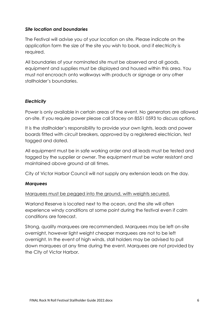#### *Site location and boundaries*

The Festival will advise you of your location on site. Please indicate on the application form the size of the site you wish to book, and if electricity is required.

All boundaries of your nominated site must be observed and all goods, equipment and supplies must be displayed and housed within this area. You must not encroach onto walkways with products or signage or any other stallholder's boundaries.

#### *Electricity*

Power is only available in certain areas of the event. No generators are allowed on-site. If you require power please call Stacey on 8551 0593 to discuss options.

It is the stallholder's responsibility to provide your own lights, leads and power boards fitted with circuit breakers, approved by a registered electrician, test tagged and dated.

All equipment must be in safe working order and all leads must be tested and tagged by the supplier or owner. The equipment must be water resistant and maintained above ground at all times.

City of Victor Harbor Council will not supply any extension leads on the day.

#### *Marquees*

#### Marquees must be pegged into the ground, with weights secured.

Warland Reserve is located next to the ocean, and the site will often experience windy conditions at some point during the festival even if calm conditions are forecast.

Strong, quality marquees are recommended. Marquees may be left on-site overnight, however light weight cheaper marquees are not to be left overnight. In the event of high winds, stall holders may be advised to pull down marquees at any time during the event. Marquees are not provided by the City of Victor Harbor.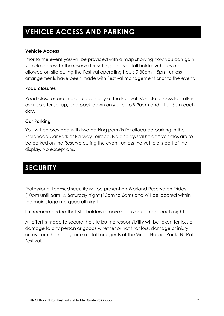# **VEHICLE ACCESS AND PARKING**

#### **Vehicle Access**

Prior to the event you will be provided with a map showing how you can gain vehicle access to the reserve for setting up. No stall holder vehicles are allowed on-site during the Festival operating hours 9:30am – 5pm, unless arrangements have been made with Festival management prior to the event.

#### **Road closures**

Road closures are in place each day of the Festival. Vehicle access to stalls is available for set up, and pack down only prior to 9:30am and after 5pm each day.

#### **Car Parking**

You will be provided with two parking permits for allocated parking in the Esplanade Car Park or Railway Terrace. No display/stallholders vehicles are to be parked on the Reserve during the event, unless the vehicle is part of the display. No exceptions.

### **SECURITY**

Professional licensed security will be present on Warland Reserve on Friday (10pm until 6am) & Saturday night (10pm to 6am) and will be located within the main stage marquee all night.

It is recommended that Stallholders remove stock/equipment each night.

All effort is made to secure the site but no responsibility will be taken for loss or damage to any person or goods whether or not that loss, damage or injury arises from the negligence of staff or agents of the Victor Harbor Rock 'N' Roll Festival.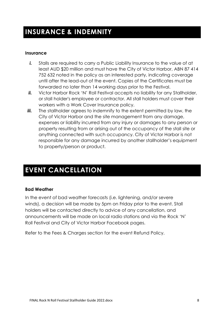### **INSURANCE & INDEMNITY**

#### **Insurance**

- *i.* Stalls are required to carry a Public Liability Insurance to the value of at least AUD \$20 million and must have the City of Victor Harbor, ABN 87 414 752 632 noted in the policy as an interested party, indicating coverage until after the lead-out of the event. Copies of the Certificates must be forwarded no later than 14 working days prior to the Festival.
- **ii.** Victor Harbor Rock 'N' Roll Festival accepts no liability for any Stallholder, or stall holder's employee or contractor. All stall holders must cover their workers with a Work Cover Insurance policy.
- **iii.** The stallholder agrees to indemnify to the extent permitted by law, the City of Victor Harbor and the site management from any damage, expenses or liability incurred from any injury or damages to any person or property resulting from or arising out of the occupancy of the stall site or anything connected with such occupancy. City of Victor Harbor is not responsible for any damage incurred by another stallholder's equipment to property/person or product.

### **EVENT CANCELLATION**

#### **Bad Weather**

In the event of bad weather forecasts (i.e. lightening, and/or severe winds), a decision will be made by 5pm on Friday prior to the event. Stall holders will be contacted directly to advice of any cancellation, and announcements will be made on local radio stations and via the Rock 'N' Roll Festival and City of Victor Harbor Facebook pages.

Refer to the Fees & Charges section for the event Refund Policy.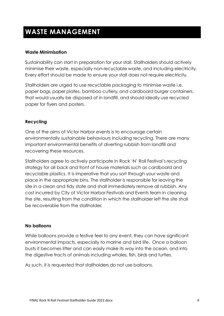# **WASTE MANAGEMENT**

#### **Waste Minimisation**

Sustainability can start in preparation for your stall. Stallholders should actively minimise their waste, especially non‐recyclable waste, and including electricity. Every effort should be made to ensure your stall does not require electricity.

Stallholders are urged to use recyclable packaging to minimise waste i.e. paper bags, paper plates, bamboo cutlery, and cardboard burger containers, that would usually be disposed of in landfill, and should ideally use recycled paper for flyers and posters.

#### **Recycling**

One of the aims of Victor Harbor events is to encourage certain environmentally sustainable behaviours including recycling. There are many important environmental benefits of diverting rubbish from landfill and recovering these resources.

Stallholders agree to actively participate in Rock 'N' Roll Festival's recycling strategy for all back and front of house materials such as cardboard and recyclable plastics. It is imperative that you sort through your waste and place in the appropriate bins. The stallholder is responsible for leaving the site in a clean and tidy state and shall immediately remove all rubbish. Any cost incurred by City of Victor Harbor Festivals and Events team in cleaning the site, resulting from the condition in which the stallholder left the site shall be recoverable from the stallholder.

#### **No balloons**

While balloons provide a festive feel to any event, they can have significant environmental impacts, especially to marine and bird life. Once a balloon busts it becomes litter and can easily make its way into the ocean, and into the digestive tracts of animals including whales, fish, birds and turtles.

As such, it is requested that stallholders do not use balloons.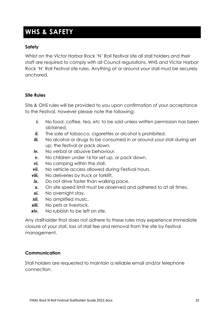### **WHS & SAFETY**

#### **Safety**

Whilst on the Victor Harbor Rock 'N' Roll Festival site all stall holders and their staff are required to comply with all Council regulations, WHS and Victor Harbor Rock 'N' Roll Festival site rules. Anything at or around your stall must be securely anchored.

#### **Site Rules**

Site & OHS rules will be provided to you upon confirmation of your acceptance to the Festival, however please note the following:

- *i.* No food, coffee, tea, etc to be sold unless written permission has been obtained.
- ii. The sale of tobacco, cigarettes or alcohol is prohibited.
- **iii.** No alcohol or drugs to be consumed in or around your stall during set up, the festival or pack down.
- *iv.* No verbal or abusive behaviour.
- *v.* No children under 16 for set up, or pack down.
- **vi.** No camping within the stall.
- **vii.** No vehicle access allowed during Festival hours.
- **viii.** No deliveries by truck or forklift.
- **ix.** Do not drive faster than walking pace.
- *x.* On site speed limit must be observed and adhered to at all times.
- *xi.* No overnight stay.
- *xii.* No amplified music.
- *xiii.* No pets or livestock.
- *xiv.* No rubbish to be left on site.

Any stallholder that does not adhere to these rules may experience immediate closure of your stall, loss of stall fee and removal from the site by Festival management.

#### **Communication**

Stall holders are requested to maintain a reliable email and/or telephone connection.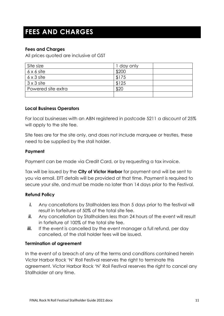### **FEES AND CHARGES**

#### **Fees and Charges**

All prices quoted are inclusive of GST

| Site size          | day only |
|--------------------|----------|
| $6 \times 6$ site  | \$200    |
| $6 \times 3$ site  | \$175    |
| $3 \times 3$ site  | \$125    |
| Powered site extra | \$2C     |
|                    |          |

#### **Local Business Operators**

For local businesses with an ABN registered in postcode 5211 a discount of 25% will apply to the site fee.

Site fees are for the site only, and does not include marquee or trestles, these need to be supplied by the stall holder.

#### **Payment**

Payment can be made via Credit Card, or by requesting a tax invoice.

Tax will be issued by the **City of Victor Harbor** for payment and will be sent to you via email. EFT details will be provided at that time. Payment is required to secure your site, and must be made no later than 14 days prior to the Festival.

#### **Refund Policy**

- *i.* Any cancellations by Stallholders less than 5 days prior to the festival will result in forfeiture of 50% of the total site fee.
- **ii.** Any cancellation by Stallholders less than 24 hours of the event will result in forfeiture of 100% of the total site fee.
- **iii.** If the event is cancelled by the event manager a full refund, per day cancelled, of the stall holder fees will be issued.

#### **Termination of agreement**

In the event of a breach of any of the terms and conditions contained herein Victor Harbor Rock 'N' Roll Festival reserves the right to terminate this agreement. Victor Harbor Rock 'N' Roll Festival reserves the right to cancel any Stallholder at any time.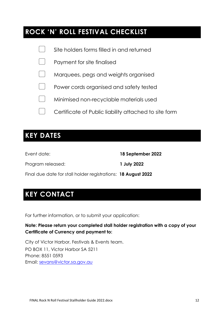### **ROCK 'N' ROLL FESTIVAL CHECKLIST**

| Site holders forms filled in and returned             |
|-------------------------------------------------------|
| Payment for site finalised                            |
| Marquees, pegs and weights organised                  |
| Power cords organised and safety tested               |
| Minimised non-recyclable materials used               |
| Certificate of Public liability attached to site form |
|                                                       |

### **KEY DATES**

Program released: **1 July 2022**

Event date: **18 September 2022**

Final due date for stall holder registrations: **18 August 2022**

## **KEY CONTACT**

For further information, or to submit your application:

#### **Note: Please return your completed stall holder registration with a copy of your Certificate of Currency and payment to:**

City of Victor Harbor, Festivals & Events team. PO BOX 11, Victor Harbor SA 5211 Phone: 8551 0593 Email: [sevans@victor.sa.gov.au](mailto:sevans@victor.sa.gov.au)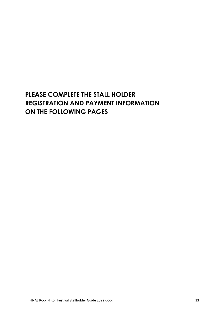### **PLEASE COMPLETE THE STALL HOLDER REGISTRATION AND PAYMENT INFORMATION ON THE FOLLOWING PAGES**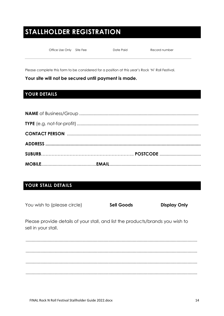# **STALLHOLDER REGISTRATION**

Office Use Only Site Fee

Date Paid

Record number

Please complete this form to be considered for a position at this year's Rock 'N' Roll Festival.

Your site will not be secured until payment is made.

### YOUR DETAILS

#### YOUR STALL DETAILS

| You wish to (please circle)                                                                           | <b>Sell Goods</b> | <b>Display Only</b> |
|-------------------------------------------------------------------------------------------------------|-------------------|---------------------|
| Please provide details of your stall, and list the products/brands you wish to<br>sell in your stall. |                   |                     |
|                                                                                                       |                   |                     |
|                                                                                                       |                   |                     |
|                                                                                                       |                   |                     |
|                                                                                                       |                   |                     |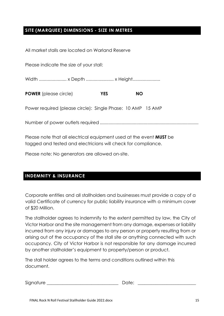#### **SITE (MARQUEE) DIMENSIONS - SIZE IN METRES**

| All market stalls are located on Warland Reserve            |           |
|-------------------------------------------------------------|-----------|
| Please indicate the size of your stall:                     |           |
|                                                             |           |
| <b>POWER</b> (please circle)<br><b>YES</b>                  | <b>NO</b> |
| Power required (please circle): Single Phase: 10 AMP 15 AMP |           |
|                                                             |           |
| D                                                           |           |

Please note that all electrical equipment used at the event **MUST** be tagged and tested and electricians will check for compliance.

Please note: No generators are allowed on-site.

#### **INDEMNITY & INSURANCE**

Corporate entities and all stallholders and businesses must provide a copy of a valid Certificate of currency for public liability insurance with a minimum cover of \$20 Million.

The stallholder agrees to indemnify to the extent permitted by law, the City of Victor Harbor and the site management from any damage, expenses or liability incurred from any injury or damages to any person or property resulting from or arising out of the occupancy of the stall site or anything connected with such occupancy. City of Victor Harbor is not responsible for any damage incurred by another stallholder's equipment to property/person or product.

The stall holder agrees to the terms and conditions outlined within this document.

| Signature |  |  |
|-----------|--|--|
|           |  |  |